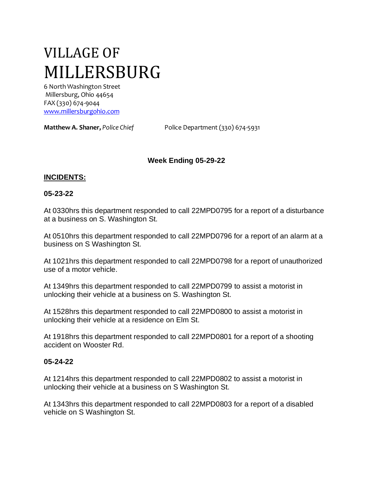# VILLAGE OF MILLERSBURG

6 North Washington Street Millersburg, Ohio 44654 FAX (330) 674-9044 [www.millersburgohio.com](http://www.millersburgohio.com/)

**Matthew A. Shaner,** *Police Chief* Police Department (330) 674-5931

## **Week Ending 05-29-22**

#### **INCIDENTS:**

#### **05-23-22**

At 0330hrs this department responded to call 22MPD0795 for a report of a disturbance at a business on S. Washington St.

At 0510hrs this department responded to call 22MPD0796 for a report of an alarm at a business on S Washington St.

At 1021hrs this department responded to call 22MPD0798 for a report of unauthorized use of a motor vehicle.

At 1349hrs this department responded to call 22MPD0799 to assist a motorist in unlocking their vehicle at a business on S. Washington St.

At 1528hrs this department responded to call 22MPD0800 to assist a motorist in unlocking their vehicle at a residence on Elm St.

At 1918hrs this department responded to call 22MPD0801 for a report of a shooting accident on Wooster Rd.

#### **05-24-22**

At 1214hrs this department responded to call 22MPD0802 to assist a motorist in unlocking their vehicle at a business on S Washington St.

At 1343hrs this department responded to call 22MPD0803 for a report of a disabled vehicle on S Washington St.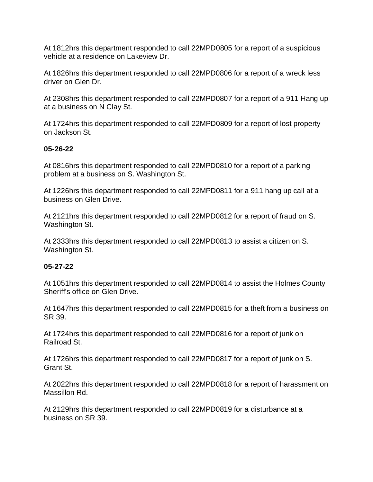At 1812hrs this department responded to call 22MPD0805 for a report of a suspicious vehicle at a residence on Lakeview Dr.

At 1826hrs this department responded to call 22MPD0806 for a report of a wreck less driver on Glen Dr.

At 2308hrs this department responded to call 22MPD0807 for a report of a 911 Hang up at a business on N Clay St.

At 1724hrs this department responded to call 22MPD0809 for a report of lost property on Jackson St.

# **05-26-22**

At 0816hrs this department responded to call 22MPD0810 for a report of a parking problem at a business on S. Washington St.

At 1226hrs this department responded to call 22MPD0811 for a 911 hang up call at a business on Glen Drive.

At 2121hrs this department responded to call 22MPD0812 for a report of fraud on S. Washington St.

At 2333hrs this department responded to call 22MPD0813 to assist a citizen on S. Washington St.

## **05-27-22**

At 1051hrs this department responded to call 22MPD0814 to assist the Holmes County Sheriff's office on Glen Drive.

At 1647hrs this department responded to call 22MPD0815 for a theft from a business on SR 39.

At 1724hrs this department responded to call 22MPD0816 for a report of junk on Railroad St.

At 1726hrs this department responded to call 22MPD0817 for a report of junk on S. Grant St.

At 2022hrs this department responded to call 22MPD0818 for a report of harassment on Massillon Rd.

At 2129hrs this department responded to call 22MPD0819 for a disturbance at a business on SR 39.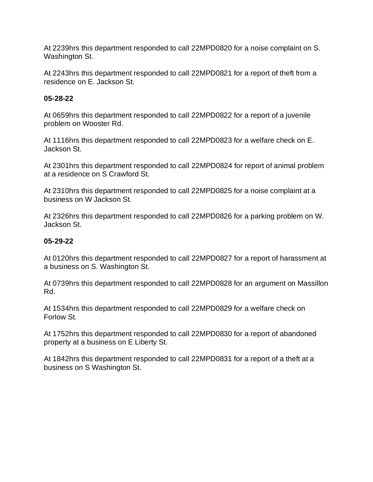At 2239hrs this department responded to call 22MPD0820 for a noise complaint on S. Washington St.

At 2243hrs this department responded to call 22MPD0821 for a report of theft from a residence on E. Jackson St.

# **05-28-22**

At 0659hrs this department responded to call 22MPD0822 for a report of a juvenile problem on Wooster Rd.

At 1116hrs this department responded to call 22MPD0823 for a welfare check on E. Jackson St.

At 2301hrs this department responded to call 22MPD0824 for report of animal problem at a residence on S Crawford St.

At 2310hrs this department responded to call 22MPD0825 for a noise complaint at a business on W Jackson St.

At 2326hrs this department responded to call 22MPD0826 for a parking problem on W. Jackson St.

# **05-29-22**

At 0120hrs this department responded to call 22MPD0827 for a report of harassment at a business on S. Washington St.

At 0739hrs this department responded to call 22MPD0828 for an argument on Massillon Rd.

At 1534hrs this department responded to call 22MPD0829 for a welfare check on Forlow St.

At 1752hrs this department responded to call 22MPD0830 for a report of abandoned property at a business on E Liberty St.

At 1842hrs this department responded to call 22MPD0831 for a report of a theft at a business on S Washington St.